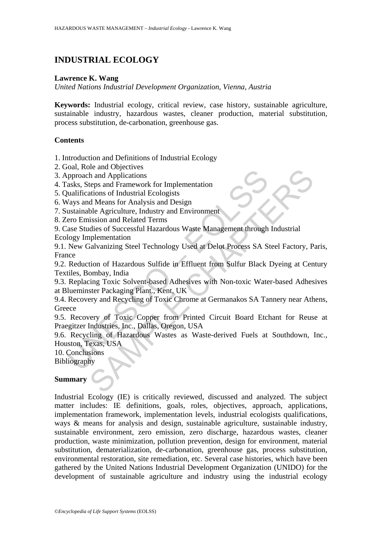# **INDUSTRIAL ECOLOGY**

## **Lawrence K. Wang**

*United Nations Industrial Development Organization, Vienna, Austria*

**Keywords:** Industrial ecology, critical review, case history, sustainable agriculture, sustainable industry, hazardous wastes, cleaner production, material substitution, process substitution, de-carbonation, greenhouse gas.

# **Contents**

1. Introduction and Definitions of Industrial Ecology

- 2. Goal, Role and Objectives
- 3. Approach and Applications
- 4. Tasks, Steps and Framework for Implementation
- 5. Qualifications of Industrial Ecologists
- 6. Ways and Means for Analysis and Design
- 7. Sustainable Agriculture, Industry and Environment
- 8. Zero Emission and Related Terms
- 9. Case Studies of Successful Hazardous Waste Management through Industrial Ecology Implementation

9.1. New Galvanizing Steel Technology Used at Delot Process SA Steel Factory, Paris, France

9.2. Reduction of Hazardous Sulfide in Effluent from Sulfur Black Dyeing at Century Textiles, Bombay, India

9.3. Replacing Toxic Solvent-based Adhesives with Non-toxic Water-based Adhesives at Blueminster Packaging Plant., Kent, UK

France Conductions<br>
and Applications<br>
asks, Steps and Framework for Implementation<br>
saks, Steps and Framework for Implementation<br>
valuatifications of Industrial Ecologists<br>
are and Means for Analysis and Design<br>
ero Emissi The anti-original Ecologists<br>
the and Applications<br>
teps and Framework for Implementation<br>
then and Applications<br>
d Means for Analysis and Design<br>
ble Agriculture, Industry and Environment<br>
sission and Related Terms<br>
dies 9.4. Recovery and Recycling of Toxic Chrome at Germanakos SA Tannery near Athens, **Greece** 

9.5. Recovery of Toxic Copper from Printed Circuit Board Etchant for Reuse at Praegitzer Industries, Inc., Dallas, Oregon, USA

9.6. Recycling of Hazardous Wastes as Waste-derived Fuels at Southdown, Inc., Houston, Texas, USA

10. Conclusions

Bibliography

# **Summary**

Industrial Ecology (IE) is critically reviewed, discussed and analyzed. The subject matter includes: IE definitions, goals, roles, objectives, approach, applications, implementation framework, implementation levels, industrial ecologists qualifications, ways & means for analysis and design, sustainable agriculture, sustainable industry, sustainable environment, zero emission, zero discharge, hazardous wastes, cleaner production, waste minimization, pollution prevention, design for environment, material substitution, dematerialization, de-carbonation, greenhouse gas, process substitution, environmental restoration, site remediation, etc. Several case histories, which have been gathered by the United Nations Industrial Development Organization (UNIDO) for the development of sustainable agriculture and industry using the industrial ecology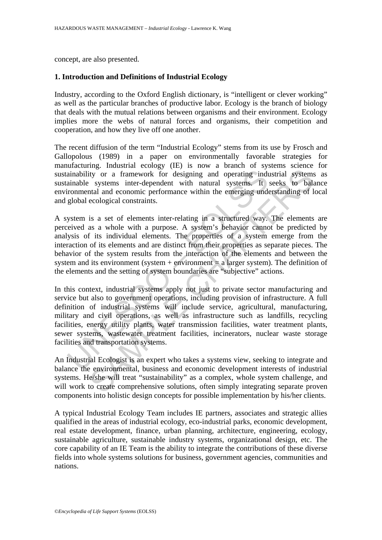concept, are also presented.

### **1. Introduction and Definitions of Industrial Ecology**

Industry, according to the Oxford English dictionary, is "intelligent or clever working" as well as the particular branches of productive labor. Ecology is the branch of biology that deals with the mutual relations between organisms and their environment. Ecology implies more the webs of natural forces and organisms, their competition and cooperation, and how they live off one another.

The recent diffusion of the term "Industrial Ecology" stems from its use by Frosch and Gallopolous (1989) in a paper on environmentally favorable strategies for manufacturing. Industrial ecology (IE) is now a branch of systems science for sustainability or a framework for designing and operating industrial systems as sustainable systems inter-dependent with natural systems. It seeks to balance environmental and economic performance within the emerging understanding of local and global ecological constraints.

A system is a set of elements inter-relating in a structured way. The elements are perceived as a whole with a purpose. A system's behavior cannot be predicted by analysis of its individual elements. The properties of a system emerge from the interaction of its elements and are distinct from their properties as separate pieces. The behavior of the system results from the interaction of the elements and between the system and its environment (system + environment  $=$  a larger system). The definition of the elements and the setting of system boundaries are "subjective" actions.

ainability or a framework for designing and operating indiainabile systems inter-dependent with natural systems. It ironmental and economic performance within the emerging under global ecological constraints.<br>
System is a ity or a framework for designing and operating industrial systems<br>systems systems inter-dependent with natural systems. It seeks to bala<br>that and economic performance within the emerging understanding of l<br>ecological const In this context, industrial systems apply not just to private sector manufacturing and service but also to government operations, including provision of infrastructure. A full definition of industrial systems will include service, agricultural, manufacturing, military and civil operations, as well as infrastructure such as landfills, recycling facilities, energy utility plants, water transmission facilities, water treatment plants, sewer systems, wastewater treatment facilities, incinerators, nuclear waste storage facilities and transportation systems.

An Industrial Ecologist is an expert who takes a systems view, seeking to integrate and balance the environmental, business and economic development interests of industrial systems. He/she will treat "sustainability" as a complex, whole system challenge, and will work to create comprehensive solutions, often simply integrating separate proven components into holistic design concepts for possible implementation by his/her clients.

A typical Industrial Ecology Team includes IE partners, associates and strategic allies qualified in the areas of industrial ecology, eco-industrial parks, economic development, real estate development, finance, urban planning, architecture, engineering, ecology, sustainable agriculture, sustainable industry systems, organizational design, etc. The core capability of an IE Team is the ability to integrate the contributions of these diverse fields into whole systems solutions for business, government agencies, communities and nations.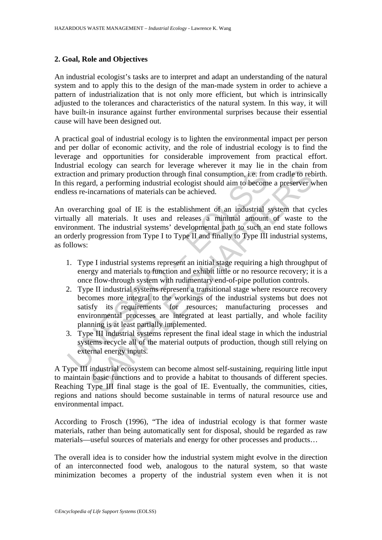#### **2. Goal, Role and Objectives**

An industrial ecologist's tasks are to interpret and adapt an understanding of the natural system and to apply this to the design of the man-made system in order to achieve a pattern of industrialization that is not only more efficient, but which is intrinsically adjusted to the tolerances and characteristics of the natural system. In this way, it will have built-in insurance against further environmental surprises because their essential cause will have been designed out.

A practical goal of industrial ecology is to lighten the environmental impact per person and per dollar of economic activity, and the role of industrial ecology is to find the leverage and opportunities for considerable improvement from practical effort. Industrial ecology can search for leverage wherever it may lie in the chain from extraction and primary production through final consumption, i.e. from cradle to rebirth. In this regard, a performing industrial ecologist should aim to become a preserver when endless re-incarnations of materials can be achieved.

An overarching goal of IE is the establishment of an industrial system that cycles virtually all materials. It uses and releases a minimal amount of waste to the environment. The industrial systems' developmental path to such an end state follows an orderly progression from Type I to Type II and finally to Type III industrial systems, as follows:

- 1. Type I industrial systems represent an initial stage requiring a high throughput of energy and materials to function and exhibit little or no resource recovery; it is a once flow-through system with rudimentary end-of-pipe pollution controls.
- action and primary production through final consumption, i.e. from<br>is regard, a performing industrial ecologist should aim to becomess re-incarnations of materials can be achieved.<br>overarching goal of HE is the establishme and primary production through final consumption, i.e. from crade to rebuded a primary production through final consumption, i.e. from crade to rebuded and primary production through final consumption, i.e. from crade to r 2. Type II industrial systems represent a transitional stage where resource recovery becomes more integral to the workings of the industrial systems but does not satisfy its requirements for resources; manufacturing processes and environmental processes are integrated at least partially, and whole facility planning is at least partially implemented.
- 3. Type III industrial systems represent the final ideal stage in which the industrial systems recycle all of the material outputs of production, though still relying on external energy inputs.

A Type III industrial ecosystem can become almost self-sustaining, requiring little input to maintain basic functions and to provide a habitat to thousands of different species. Reaching Type III final stage is the goal of IE. Eventually, the communities, cities, regions and nations should become sustainable in terms of natural resource use and environmental impact.

According to Frosch (1996), "The idea of industrial ecology is that former waste materials, rather than being automatically sent for disposal, should be regarded as raw materials—useful sources of materials and energy for other processes and products…

The overall idea is to consider how the industrial system might evolve in the direction of an interconnected food web, analogous to the natural system, so that waste minimization becomes a property of the industrial system even when it is not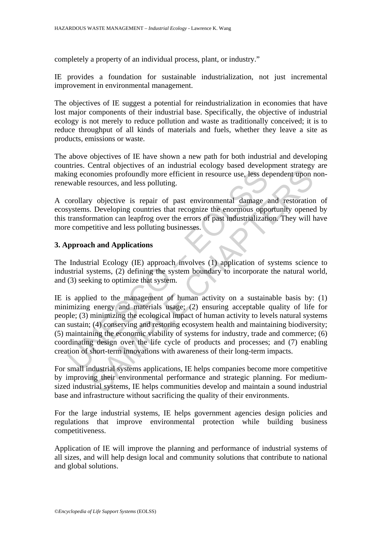completely a property of an individual process, plant, or industry."

IE provides a foundation for sustainable industrialization, not just incremental improvement in environmental management.

The objectives of IE suggest a potential for reindustrialization in economies that have lost major components of their industrial base. Specifically, the objective of industrial ecology is not merely to reduce pollution and waste as traditionally conceived; it is to reduce throughput of all kinds of materials and fuels, whether they leave a site as products, emissions or waste.

The above objectives of IE have shown a new path for both industrial and developing countries. Central objectives of an industrial ecology based development strategy are making economies profoundly more efficient in resource use, less dependent upon nonrenewable resources, and less polluting.

A corollary objective is repair of past environmental damage and restoration of ecosystems. Developing countries that recognize the enormous opportunity opened by this transformation can leapfrog over the errors of past industrialization. They will have more competitive and less polluting businesses.

# **3. Approach and Applications**

The Industrial Ecology (IE) approach involves (1) application of systems science to industrial systems, (2) defining the system boundary to incorporate the natural world, and (3) seeking to optimize that system.

ing economies profoundly more efficient in resource use, less de<br>wable resources, and less polluting.<br>corollary objective is repair of past environmental damage a<br>systems. Developing countries that recognize the enormons o momines profoundly more efficient in resource use, less dependent upon nonomies profoundly more efficient in resource use, less dependent upon resources, and less polluting.<br>
y objective is repair of past environmental dam IE is applied to the management of human activity on a sustainable basis by: (1) minimizing energy and materials usage; (2) ensuring acceptable quality of life for people; (3) minimizing the ecological impact of human activity to levels natural systems can sustain; (4) conserving and restoring ecosystem health and maintaining biodiversity; (5) maintaining the economic viability of systems for industry, trade and commerce; (6) coordinating design over the life cycle of products and processes; and (7) enabling creation of short-term innovations with awareness of their long-term impacts.

For small industrial systems applications, IE helps companies become more competitive by improving their environmental performance and strategic planning. For mediumsized industrial systems, IE helps communities develop and maintain a sound industrial base and infrastructure without sacrificing the quality of their environments.

For the large industrial systems, IE helps government agencies design policies and regulations that improve environmental protection while building business competitiveness.

Application of IE will improve the planning and performance of industrial systems of all sizes, and will help design local and community solutions that contribute to national and global solutions.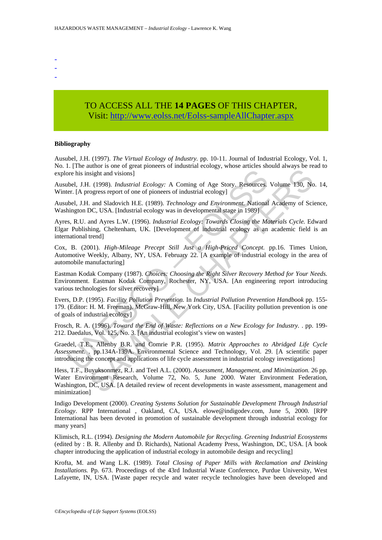- -
- -
- TO ACCESS ALL THE **14 PAGES** OF THIS CHAPTER, Visi[t: http://www.eolss.net/Eolss-sampleAllChapter.aspx](https://www.eolss.net/ebooklib/sc_cart.aspx?File=E1-08-15-00)

#### **Bibliography**

Ausubel, J.H. (1997). *The Virtual Ecology of Industry.* pp. 10-11. Journal of Industrial Ecology, Vol. 1, No. 1. [The author is one of great pioneers of industrial ecology, whose articles should always be read to explore his insight and visions]

Ausubel, J.H. (1998). *Industrial Ecology:* A Coming of Age Story. Resources. Volume 130, No. 14, Winter. [A progress report of one of pioneers of industrial ecology]

Ausubel, J.H. and Sladovich H.E. (1989). *Technology and Environment.* National Academy of Science, Washington DC, USA. [Industrial ecology was in developmental stage in 1989]

Ayres, R.U. and Ayres L.W. (1996). *Industrial Ecology: Towards Closing the Materials Cycle.* Edward Elgar Publishing, Cheltenham, UK. [Development of industrial ecology as an academic field is an international trend]

Cox, B. (2001). *High-Mileage Precept Still Just a High-Priced Concept.* pp.16. Times Union, Automotive Weekly, Albany, NY, USA. February 22. [A example of industrial ecology in the area of automobile manufacturing]

Eastman Kodak Company (1987). *Choices: Choosing the Right Silver Recovery Method for Your Needs.* Environment. Eastman Kodak Company, Rochester, NY, USA. [An engineering report introducing various technologies for silver recovery]

Evers, D.P. (1995). *Facility Pollution Prevention.* In *Industrial Pollution Prevention Handbook* pp. 155- 179. (Editor: H. M. Freeman). McGraw-Hill, New York City, USA. [Facility pollution prevention is one of goals of industrial ecology]

Frosch, R. A. (1996). *Toward the End of Waste: Reflections on a New Ecology for Industry.* . pp. 199- 212. Daedalus, Vol. 125, No. 3. [An industrial ecologist's view on wastes]

ore his insight and visions]<br>
ore his insight and visions]<br>
ore his insight and visions]<br>
ore the U.S. Industrial Ecology: A Coming of Age Story, Resources.<br>
er. [A progress report of one of pioneers of industrial ecology] Graedel, T.E., Allenby B.R. and Comrie P.R. (1995). *Matrix Approaches to Abridged Life Cycle Assessment.* . pp.134A-139A. Environmental Science and Technology, Vol. 29. [A scientific paper introducing the concept and applications of life cycle assessment in industrial ecology investigations]

Learn of the System process of metastran eccocypy virtuots are<br>accordingly in the signal of the Singh and Visions]<br>
1. (1998). *Industrial Ecology:* A Coming of Age Story, Resources, Volume 130, No<br>
2. and Sladovich H.E. ( Hess, T.F., Buyuksonmez, R.J. and Teel A.L. (2000). *Assessment, Management, and Minimization.* 26 pp. Water Environment Research, Volume 72, No. 5, June 2000. Water Environment Federation, Washington, DC, USA. [A detailed review of recent developments in waste assessment, management and minimization]

Indigo Development (2000). *Creating Systems Solution for Sustainable Development Through Industrial Ecology*. RPP International , Oakland, CA, USA. elowe@indigodev.com, June 5, 2000. [RPP International has been devoted in promotion of sustainable development through industrial ecology for many years]

Klimisch, R.L. (1994). *Designing the Modern Automobile for Recycling. Greening Industrial Ecosystems*  (edited by : B. R. Allenby and D. Richards), National Academy Press, Washington, DC, USA. [A book chapter introducing the application of industrial ecology in automobile design and recycling]

Krofta, M. and Wang L.K. (1989). *Total Closing of Paper Mills with Reclamation and Deinking Installations.* Pp. 673. Proceedings of the 43rd Industrial Waste Conference, Purdue University, West Lafayette, IN, USA. [Waste paper recycle and water recycle technologies have been developed and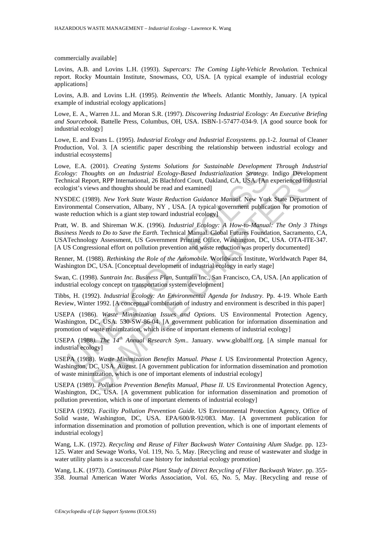commercially available]

Lovins, A.B. and Lovins L.H. (1993). *Supercars: The Coming Light-Vehicle Revolution.* Technical report. Rocky Mountain Institute, Snowmass, CO, USA. [A typical example of industrial ecology applications]

Lovins, A.B. and Lovins L.H. (1995). *Reinventin the Wheels.* Atlantic Monthly, January. [A typical example of industrial ecology applications]

Lowe, E. A., Warren J.L. and Moran S.R. (1997). *Discovering Industrial Ecology: An Executive Briefing and Sourcebook.* Battelle Press, Columbus, OH, USA. ISBN-1-57477-034-9. [A good source book for industrial ecology]

Lowe, E. and Evans L. (1995). *Industrial Ecology and Industrial Ecosystems.* pp.1-2. Journal of Cleaner Production, Vol. 3. [A scientific paper describing the relationship between industrial ecology and industrial ecosystems]

Lowe, E.A. (2001). *Creating Systems Solutions for Sustainable Development Through Industrial Ecology: Thoughts on an Industrial Ecology-Based Industrialization Strategy.* Indigo Development Technical Report, RPP International, 26 Blachford Court, Oakland, CA, USA. [An experienced industrial ecologist's views and thoughts should be read and examined]

NYSDEC (1989). *New York State Waste Reduction Guidance Manual.* New York State Department of Environmental Conservation, Albany, NY , USA. [A typical government publication for promotion of waste reduction which is a giant step toward industrial ecology]

by: Thoughts on an Industrial Ecology-Based Industrialization Strategy.<br>
Digits's views and thoughts should be read and examined]<br>
Report, RPP International, 26 Blachford Court, Oakland, CA, USA, [An<br>
DEC (1989). New York consident and the term in the control of the system. The constant of the properties of the properties of the properties of the properties and the results for a method Court, Osta, (A, USA, (A) experienced inductions,  $25$ Pratt, W. B. and Shireman W.K. (1996). *Industrial Ecology: A How-to-Manual: The Only 3 Things Business Needs to Do to Save the Earth.* Technical Manual. Global Futures Foundation, Sacramento, CA, USATechnology Assessment, US Government Printing Office, Washington, DC, USA. OTA-ITE-347. [A US Congressional effort on pollution prevention and waste reduction was properly documented]

Renner, M. (1988). *Rethinking the Role of the Automobile.* Worldwatch Institute, Worldwatch Paper 84, Washington DC, USA. [Conceptual development of industrial ecology in early stage]

Swan, C. (1998). *Suntrain Inc. Business Plan,* Suntrain Inc., San Francisco, CA, USA. [An application of industrial ecology concept on transportation system development]

Tibbs, H. (1992). *Industrial Ecology: An Environmental Agenda for Industry.* Pp. 4-19. Whole Earth Review, Winter 1992. [A conceptual combination of industry and environment is described in this paper]

USEPA (1986). *Waste Minimization Issues and Options.* US Environmental Protection Agency, Washington, DC, USA. 530-SW-86-04. [A government publication for information dissemination and promotion of waste minimization, which is one of important elements of industrial ecology]

USEPA (1988*). The 14th Annual Research Sym*.. January. www.globalff.org. [A simple manual for industrial ecology]

USEPA (1988). *Waste Minimization Benefits Manual. Phase I.* US Environmental Protection Agency, Washington, DC, USA. August. [A government publication for information dissemination and promotion of waste minimization, which is one of important elements of industrial ecology]

USEPA (1989). *Pollution Prevention Benefits Manual, Phase II.* US Environmental Protection Agency, Washington, DC, USA. [A government publication for information dissemination and promotion of pollution prevention, which is one of important elements of industrial ecology]

USEPA (1992). *Facility Pollution Prevention Guide.* US Environmental Protection Agency, Office of Solid waste, Washington, DC, USA. EPA/600/R-92/083. May. [A government publication for information dissemination and promotion of pollution prevention, which is one of important elements of industrial ecology]

Wang, L.K. (1972). *Recycling and Reuse of Filter Backwash Water Containing Alum Sludge.* pp. 123- 125. Water and Sewage Works, Vol. 119, No. 5, May. [Recycling and reuse of wastewater and sludge in water utility plants is a successful case history for industrial ecology promotion]

Wang, L.K. (1973). *Continuous Pilot Plant Study of Direct Recycling of Filter Backwash Water.* pp. 355- 358. Journal American Water Works Association, Vol. 65, No. 5, May. [Recycling and reuse of